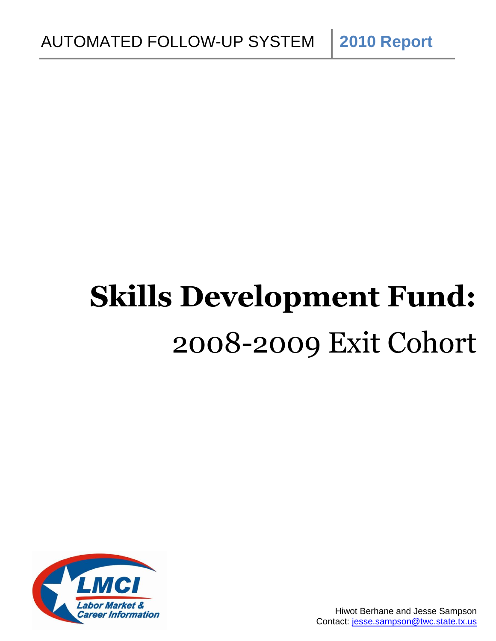# **Skills Development Fund:** 2008-2009 Exit Cohort

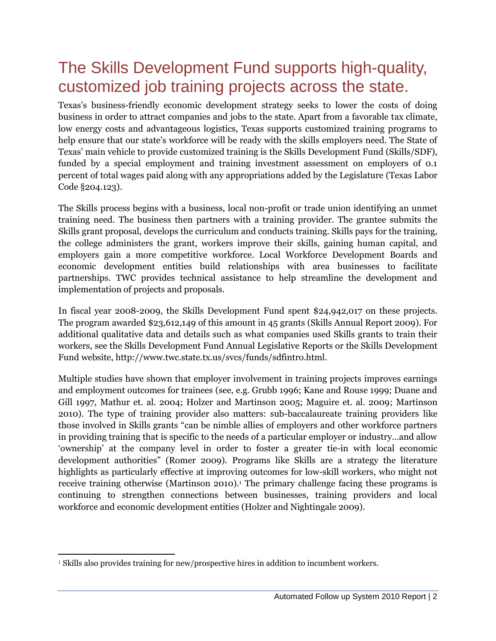## The Skills Development Fund supports high-quality, customized job training projects across the state.

Texas"s business-friendly economic development strategy seeks to lower the costs of doing business in order to attract companies and jobs to the state. Apart from a favorable tax climate, low energy costs and advantageous logistics, Texas supports customized training programs to help ensure that our state's workforce will be ready with the skills employers need. The State of Texas" main vehicle to provide customized training is the Skills Development Fund (Skills/SDF), funded by a special employment and training investment assessment on employers of 0.1 percent of total wages paid along with any appropriations added by the Legislature (Texas Labor Code §204.123).

The Skills process begins with a business, local non-profit or trade union identifying an unmet training need. The business then partners with a training provider. The grantee submits the Skills grant proposal, develops the curriculum and conducts training. Skills pays for the training, the college administers the grant, workers improve their skills, gaining human capital, and employers gain a more competitive workforce. Local Workforce Development Boards and economic development entities build relationships with area businesses to facilitate partnerships. TWC provides technical assistance to help streamline the development and implementation of projects and proposals.

In fiscal year 2008-2009, the Skills Development Fund spent \$24,942,017 on these projects. The program awarded \$23,612,149 of this amount in 45 grants (Skills Annual Report 2009). For additional qualitative data and details such as what companies used Skills grants to train their workers, see the Skills Development Fund Annual Legislative Reports or the Skills Development Fund website[, http://www.twc.state.tx.us/svcs/funds/sdfintro.html.](http://www.twc.state.tx.us/svcs/funds/sdfintro.html)

Multiple studies have shown that employer involvement in training projects improves earnings and employment outcomes for trainees (see, e.g. Grubb 1996; Kane and Rouse 1999; Duane and Gill 1997, Mathur et. al. 2004; Holzer and Martinson 2005; Maguire et. al. 2009; Martinson 2010). The type of training provider also matters: sub-baccalaureate training providers like those involved in Skills grants "can be nimble allies of employers and other workforce partners in providing training that is specific to the needs of a particular employer or industry…and allow "ownership" at the company level in order to foster a greater tie-in with local economic development authorities" (Romer 2009). Programs like Skills are a strategy the literature highlights as particularly effective at improving outcomes for low-skill workers, who might not receive training otherwise (Martinson 2010). <sup>1</sup> The primary challenge facing these programs is continuing to strengthen connections between businesses, training providers and local workforce and economic development entities (Holzer and Nightingale 2009).

 $\overline{\phantom{a}}$ <sup>1</sup> Skills also provides training for new/prospective hires in addition to incumbent workers.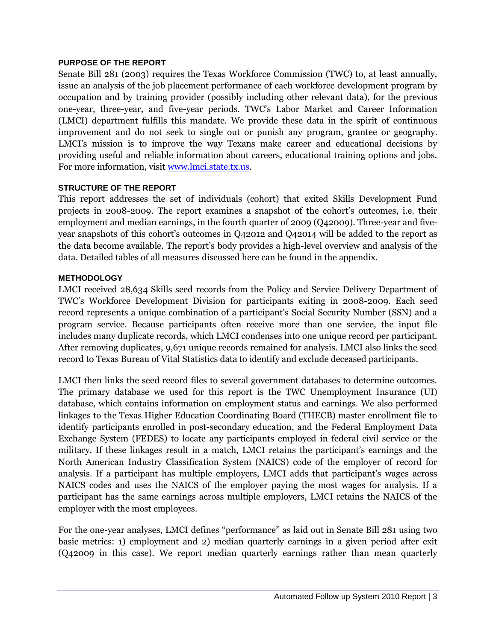#### **PURPOSE OF THE REPORT**

Senate Bill 281 (2003) requires the Texas Workforce Commission (TWC) to, at least annually, issue an analysis of the job placement performance of each workforce development program by occupation and by training provider (possibly including other relevant data), for the previous one-year, three-year, and five-year periods. TWC"s Labor Market and Career Information (LMCI) department fulfills this mandate. We provide these data in the spirit of continuous improvement and do not seek to single out or punish any program, grantee or geography. LMCI's mission is to improve the way Texans make career and educational decisions by providing useful and reliable information about careers, educational training options and jobs. For more information, visit [www.lmci.state.tx.us.](http://www.lmci.state.tx.us/)

#### **STRUCTURE OF THE REPORT**

This report addresses the set of individuals (cohort) that exited Skills Development Fund projects in 2008-2009. The report examines a snapshot of the cohort"s outcomes, i.e. their employment and median earnings, in the fourth quarter of 2009 (Q42009). Three-year and fiveyear snapshots of this cohort's outcomes in Q42012 and Q42014 will be added to the report as the data become available. The report's body provides a high-level overview and analysis of the data. Detailed tables of all measures discussed here can be found in the appendix.

#### **METHODOLOGY**

LMCI received 28,634 Skills seed records from the Policy and Service Delivery Department of TWC"s Workforce Development Division for participants exiting in 2008-2009. Each seed record represents a unique combination of a participant"s Social Security Number (SSN) and a program service. Because participants often receive more than one service, the input file includes many duplicate records, which LMCI condenses into one unique record per participant. After removing duplicates, 9,671 unique records remained for analysis. LMCI also links the seed record to Texas Bureau of Vital Statistics data to identify and exclude deceased participants.

LMCI then links the seed record files to several government databases to determine outcomes. The primary database we used for this report is the TWC Unemployment Insurance (UI) database, which contains information on employment status and earnings. We also performed linkages to the Texas Higher Education Coordinating Board (THECB) master enrollment file to identify participants enrolled in post-secondary education, and the Federal Employment Data Exchange System (FEDES) to locate any participants employed in federal civil service or the military. If these linkages result in a match, LMCI retains the participant's earnings and the North American Industry Classification System (NAICS) code of the employer of record for analysis. If a participant has multiple employers, LMCI adds that participant"s wages across NAICS codes and uses the NAICS of the employer paying the most wages for analysis. If a participant has the same earnings across multiple employers, LMCI retains the NAICS of the employer with the most employees.

For the one-year analyses, LMCI defines "performance" as laid out in Senate Bill 281 using two basic metrics: 1) employment and 2) median quarterly earnings in a given period after exit (Q42009 in this case). We report median quarterly earnings rather than mean quarterly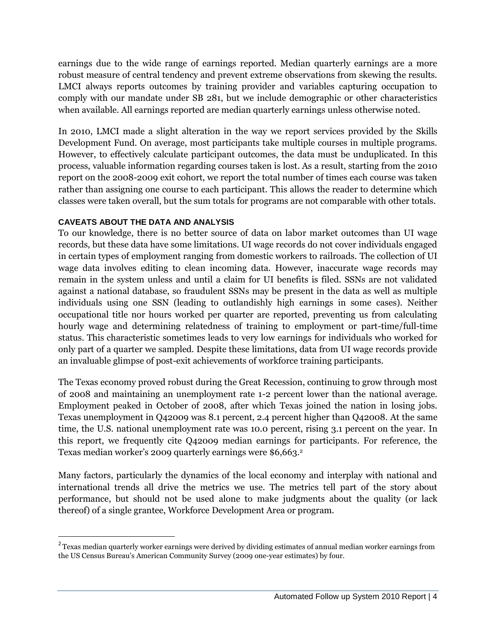earnings due to the wide range of earnings reported. Median quarterly earnings are a more robust measure of central tendency and prevent extreme observations from skewing the results. LMCI always reports outcomes by training provider and variables capturing occupation to comply with our mandate under SB 281, but we include demographic or other characteristics when available. All earnings reported are median quarterly earnings unless otherwise noted.

In 2010, LMCI made a slight alteration in the way we report services provided by the Skills Development Fund. On average, most participants take multiple courses in multiple programs. However, to effectively calculate participant outcomes, the data must be unduplicated. In this process, valuable information regarding courses taken is lost. As a result, starting from the 2010 report on the 2008-2009 exit cohort, we report the total number of times each course was taken rather than assigning one course to each participant. This allows the reader to determine which classes were taken overall, but the sum totals for programs are not comparable with other totals.

#### **CAVEATS ABOUT THE DATA AND ANALYSIS**

 $\overline{\phantom{a}}$ 

To our knowledge, there is no better source of data on labor market outcomes than UI wage records, but these data have some limitations. UI wage records do not cover individuals engaged in certain types of employment ranging from domestic workers to railroads. The collection of UI wage data involves editing to clean incoming data. However, inaccurate wage records may remain in the system unless and until a claim for UI benefits is filed. SSNs are not validated against a national database, so fraudulent SSNs may be present in the data as well as multiple individuals using one SSN (leading to outlandishly high earnings in some cases). Neither occupational title nor hours worked per quarter are reported, preventing us from calculating hourly wage and determining relatedness of training to employment or part-time/full-time status. This characteristic sometimes leads to very low earnings for individuals who worked for only part of a quarter we sampled. Despite these limitations, data from UI wage records provide an invaluable glimpse of post-exit achievements of workforce training participants.

The Texas economy proved robust during the Great Recession, continuing to grow through most of 2008 and maintaining an unemployment rate 1-2 percent lower than the national average. Employment peaked in October of 2008, after which Texas joined the nation in losing jobs. Texas unemployment in Q42009 was 8.1 percent, 2.4 percent higher than Q42008. At the same time, the U.S. national unemployment rate was 10.0 percent, rising 3.1 percent on the year. In this report, we frequently cite Q42009 median earnings for participants. For reference, the Texas median worker's 2009 quarterly earnings were \$6,663.<sup>2</sup>

Many factors, particularly the dynamics of the local economy and interplay with national and international trends all drive the metrics we use. The metrics tell part of the story about performance, but should not be used alone to make judgments about the quality (or lack thereof) of a single grantee, Workforce Development Area or program.

 $^2$ Texas median quarterly worker earnings were derived by dividing estimates of annual median worker earnings from the US Census Bureau"s American Community Survey (2009 one-year estimates) by four.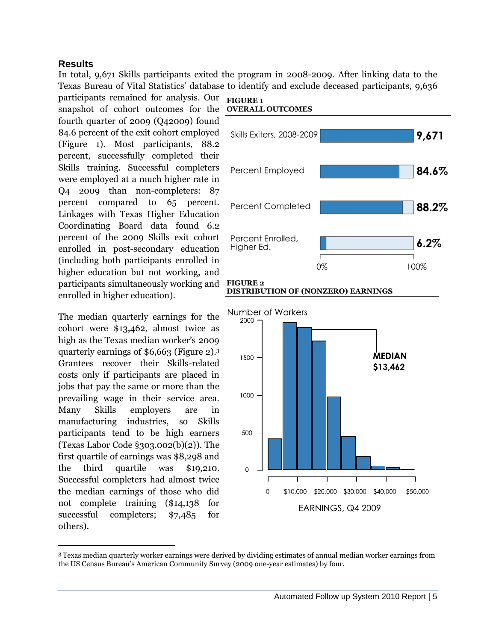#### **Results**

In total, 9,671 Skills participants exited the program in 2008-2009. After linking data to the Texas Bureau of Vital Statistics" database to identify and exclude deceased participants, 9,636

participants remained for analysis. Our FIGURE 1 snapshot of cohort outcomes for the **OVERALL OUTCOMES** fourth quarter of 2009 (Q42009) found 84.6 percent of the exit cohort employed (Figure 1). Most participants, 88.2 percent, successfully completed their Skills training. Successful completers were employed at a much higher rate in Q4 2009 than non-completers: 87 percent compared to 65 percent. Linkages with Texas Higher Education Coordinating Board data found 6.2 percent of the 2009 Skills exit cohort enrolled in post-secondary education (including both participants enrolled in higher education but not working, and participants simultaneously working and enrolled in higher education).

The median quarterly earnings for the cohort were \$13,462, almost twice as high as the Texas median worker's 2009 quarterly earnings of \$6,663 (Figure 2). 3 Grantees recover their Skills-related costs only if participants are placed in jobs that pay the same or more than the prevailing wage in their service area. Many Skills employers are in manufacturing industries, so Skills participants tend to be high earners (Texas Labor Code §303.002(b)(2)). The first quartile of earnings was \$8,298 and the third quartile was \$19,210. Successful completers had almost twice the median earnings of those who did not complete training (\$14,138 for successful completers; \$7,485 for others).

 $\overline{\phantom{a}}$ 







<sup>3</sup> Texas median quarterly worker earnings were derived by dividing estimates of annual median worker earnings from the US Census Bureau"s American Community Survey (2009 one-year estimates) by four.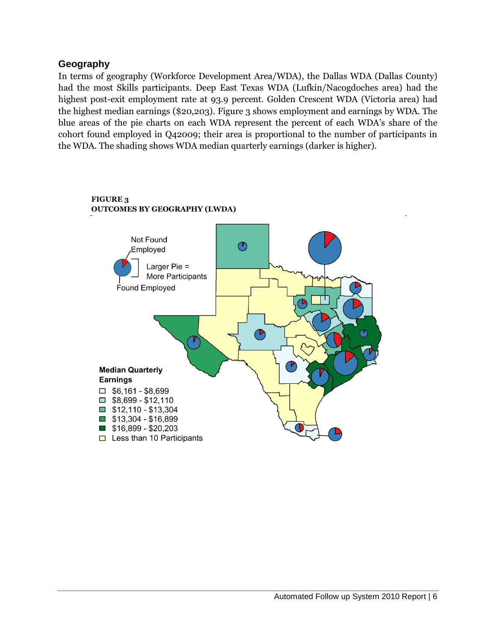#### **Geography**

In terms of geography (Workforce Development Area/WDA), the Dallas WDA (Dallas County) had the most Skills participants. Deep East Texas WDA (Lufkin/Nacogdoches area) had the highest post-exit employment rate at 93.9 percent. Golden Crescent WDA (Victoria area) had the highest median earnings (\$20,203). Figure 3 shows employment and earnings by WDA. The blue areas of the pie charts on each WDA represent the percent of each WDA"s share of the cohort found employed in Q42009; their area is proportional to the number of participants in the WDA. The shading shows WDA median quarterly earnings (darker is higher).



#### **FIGURE 3 OUTCOMES BY GEOGRAPHY (LWDA)**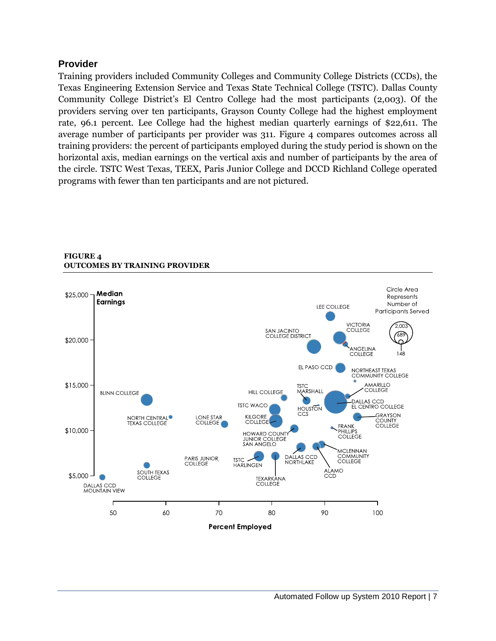#### **Provider**

Training providers included Community Colleges and Community College Districts (CCDs), the Texas Engineering Extension Service and Texas State Technical College (TSTC). Dallas County Community College District's El Centro College had the most participants (2,003). Of the providers serving over ten participants, Grayson County College had the highest employment rate, 96.1 percent. Lee College had the highest median quarterly earnings of \$22,611. The average number of participants per provider was 311. Figure 4 compares outcomes across all training providers: the percent of participants employed during the study period is shown on the horizontal axis, median earnings on the vertical axis and number of participants by the area of the circle. TSTC West Texas, TEEX, Paris Junior College and DCCD Richland College operated programs with fewer than ten participants and are not pictured.



#### **FIGURE 4 OUTCOMES BY TRAINING PROVIDER**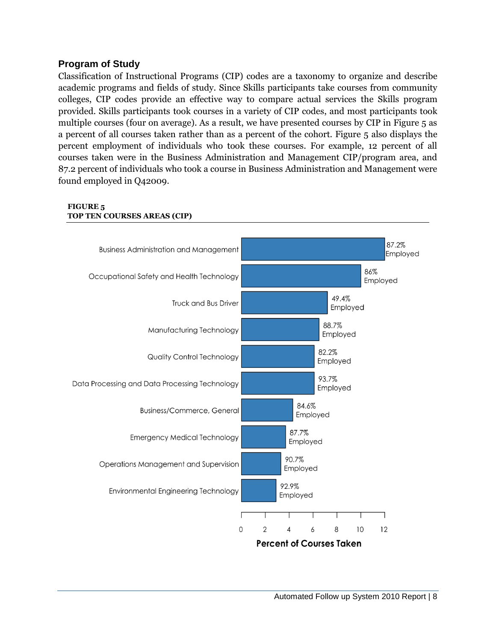#### **Program of Study**

Classification of Instructional Programs (CIP) codes are a taxonomy to organize and describe academic programs and fields of study. Since Skills participants take courses from community colleges, CIP codes provide an effective way to compare actual services the Skills program provided. Skills participants took courses in a variety of CIP codes, and most participants took multiple courses (four on average). As a result, we have presented courses by CIP in Figure 5 as a percent of all courses taken rather than as a percent of the cohort. Figure 5 also displays the percent employment of individuals who took these courses. For example, 12 percent of all courses taken were in the Business Administration and Management CIP/program area, and 87.2 percent of individuals who took a course in Business Administration and Management were found employed in Q42009.



#### **FIGURE 5 TOP TEN COURSES AREAS (CIP)**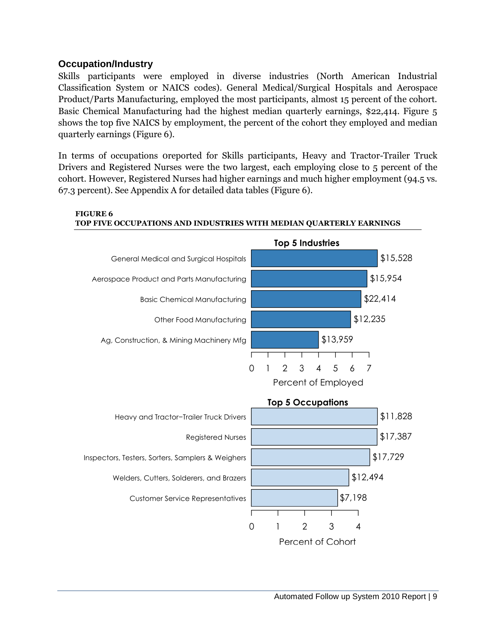#### **Occupation/Industry**

Skills participants were employed in diverse industries (North American Industrial Classification System or NAICS codes). General Medical/Surgical Hospitals and Aerospace Product/Parts Manufacturing, employed the most participants, almost 15 percent of the cohort. Basic Chemical Manufacturing had the highest median quarterly earnings, \$22,414. Figure 5 shows the top five NAICS by employment, the percent of the cohort they employed and median quarterly earnings (Figure 6).

In terms of occupations 0reported for Skills participants, Heavy and Tractor-Trailer Truck Drivers and Registered Nurses were the two largest, each employing close to 5 percent of the cohort. However, Registered Nurses had higher earnings and much higher employment (94.5 vs. 67.3 percent). See Appendix A for detailed data tables (Figure 6).



#### **FIGURE 6 TOP FIVE OCCUPATIONS AND INDUSTRIES WITH MEDIAN QUARTERLY EARNINGS**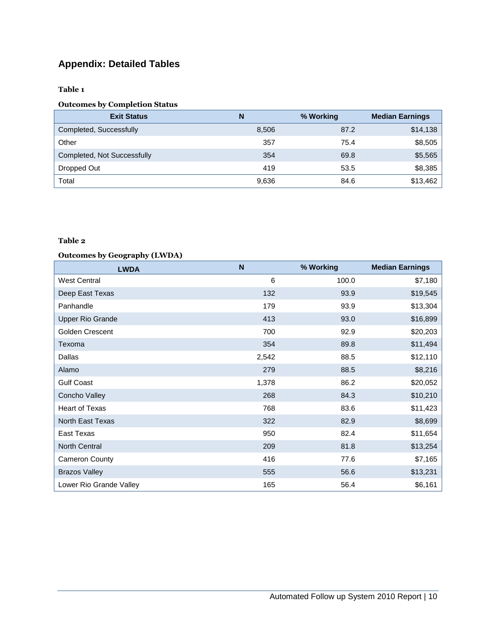### **Appendix: Detailed Tables**

**Table 1**

#### **Outcomes by Completion Status**

| <b>Exit Status</b>          | N     | % Working | <b>Median Earnings</b> |
|-----------------------------|-------|-----------|------------------------|
| Completed, Successfully     | 8,506 | 87.2      | \$14,138               |
| Other                       | 357   | 75.4      | \$8,505                |
| Completed, Not Successfully | 354   | 69.8      | \$5,565                |
| Dropped Out                 | 419   | 53.5      | \$8,385                |
| Total                       | 9,636 | 84.6      | \$13,462               |

#### **Table 2**

#### **Outcomes by Geography (LWDA)**

| <b>LWDA</b>             | N     | % Working | <b>Median Earnings</b> |
|-------------------------|-------|-----------|------------------------|
| <b>West Central</b>     | 6     | 100.0     | \$7,180                |
| Deep East Texas         | 132   | 93.9      | \$19,545               |
| Panhandle               | 179   | 93.9      | \$13,304               |
| <b>Upper Rio Grande</b> | 413   | 93.0      | \$16,899               |
| Golden Crescent         | 700   | 92.9      | \$20,203               |
| Texoma                  | 354   | 89.8      | \$11,494               |
| Dallas                  | 2,542 | 88.5      | \$12,110               |
| Alamo                   | 279   | 88.5      | \$8,216                |
| <b>Gulf Coast</b>       | 1,378 | 86.2      | \$20,052               |
| Concho Valley           | 268   | 84.3      | \$10,210               |
| Heart of Texas          | 768   | 83.6      | \$11,423               |
| North East Texas        | 322   | 82.9      | \$8,699                |
| East Texas              | 950   | 82.4      | \$11,654               |
| <b>North Central</b>    | 209   | 81.8      | \$13,254               |
| <b>Cameron County</b>   | 416   | 77.6      | \$7,165                |
| <b>Brazos Valley</b>    | 555   | 56.6      | \$13,231               |
| Lower Rio Grande Valley | 165   | 56.4      | \$6,161                |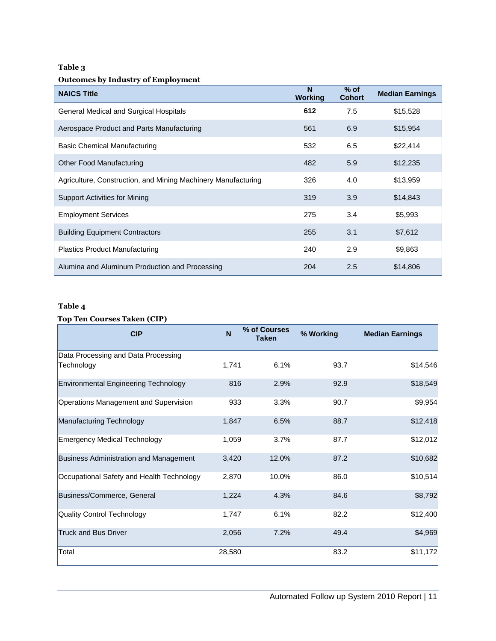#### **Table 3**

#### **Outcomes by Industry of Employment**

| <b>NAICS Title</b>                                            | N<br><b>Working</b> | $%$ of<br><b>Cohort</b> | <b>Median Earnings</b> |
|---------------------------------------------------------------|---------------------|-------------------------|------------------------|
| General Medical and Surgical Hospitals                        | 612                 | 7.5                     | \$15,528               |
| Aerospace Product and Parts Manufacturing                     | 561                 | 6.9                     | \$15,954               |
| Basic Chemical Manufacturing                                  | 532                 | 6.5                     | \$22,414               |
| <b>Other Food Manufacturing</b>                               | 482                 | 5.9                     | \$12,235               |
| Agriculture, Construction, and Mining Machinery Manufacturing | 326                 | 4.0                     | \$13,959               |
| <b>Support Activities for Mining</b>                          | 319                 | 3.9                     | \$14,843               |
| <b>Employment Services</b>                                    | 275                 | 3.4                     | \$5,993                |
| <b>Building Equipment Contractors</b>                         | 255                 | 3.1                     | \$7,612                |
| <b>Plastics Product Manufacturing</b>                         | 240                 | 2.9                     | \$9,863                |
| Alumina and Aluminum Production and Processing                | 204                 | 2.5                     | \$14,806               |

#### **Table 4**

#### **Top Ten Courses Taken (CIP)**

| <b>CIP</b>                                        | N      | % of Courses<br><b>Taken</b> | % Working | <b>Median Earnings</b> |
|---------------------------------------------------|--------|------------------------------|-----------|------------------------|
| Data Processing and Data Processing<br>Technology | 1,741  | 6.1%                         | 93.7      | \$14,546               |
| Environmental Engineering Technology              | 816    | 2.9%                         | 92.9      | \$18,549               |
| Operations Management and Supervision             | 933    | 3.3%                         | 90.7      | \$9,954                |
| Manufacturing Technology                          | 1,847  | 6.5%                         | 88.7      | \$12,418               |
| Emergency Medical Technology                      | 1,059  | 3.7%                         | 87.7      | \$12,012               |
| Business Administration and Management            | 3,420  | 12.0%                        | 87.2      | \$10,682               |
| Occupational Safety and Health Technology         | 2,870  | 10.0%                        | 86.0      | \$10,514               |
| Business/Commerce, General                        | 1,224  | 4.3%                         | 84.6      | \$8,792                |
| Quality Control Technology                        | 1,747  | 6.1%                         | 82.2      | \$12,400               |
| <b>Truck and Bus Driver</b>                       | 2,056  | 7.2%                         | 49.4      | \$4,969                |
| Total                                             | 28,580 |                              | 83.2      | \$11,172               |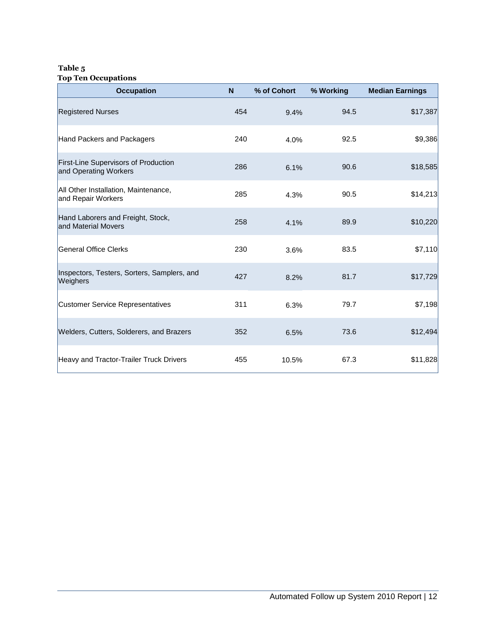#### **Table 5 Top Ten Occupations**

| <b>Occupation</b>                                             | N   | % of Cohort | % Working | <b>Median Earnings</b> |
|---------------------------------------------------------------|-----|-------------|-----------|------------------------|
| <b>Registered Nurses</b>                                      | 454 | 9.4%        | 94.5      | \$17,387               |
| Hand Packers and Packagers                                    | 240 | 4.0%        | 92.5      | \$9,386                |
| First-Line Supervisors of Production<br>and Operating Workers | 286 | 6.1%        | 90.6      | \$18,585               |
| All Other Installation, Maintenance,<br>and Repair Workers    | 285 | 4.3%        | 90.5      | \$14,213               |
| Hand Laborers and Freight, Stock,<br>and Material Movers      | 258 | 4.1%        | 89.9      | \$10,220               |
| General Office Clerks                                         | 230 | 3.6%        | 83.5      | \$7,110                |
| Inspectors, Testers, Sorters, Samplers, and<br>Weighers       | 427 | 8.2%        | 81.7      | \$17,729               |
| <b>Customer Service Representatives</b>                       | 311 | 6.3%        | 79.7      | \$7,198                |
| Welders, Cutters, Solderers, and Brazers                      | 352 | 6.5%        | 73.6      | \$12,494               |
| Heavy and Tractor-Trailer Truck Drivers                       | 455 | 10.5%       | 67.3      | \$11,828               |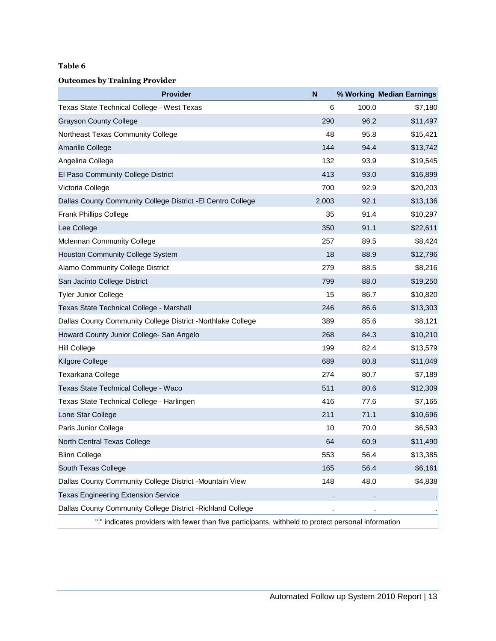#### **Table 6**

#### **Outcomes by Training Provider**

| <b>Provider</b>                                                                                     | N     |       | % Working Median Earnings |
|-----------------------------------------------------------------------------------------------------|-------|-------|---------------------------|
| Texas State Technical College - West Texas                                                          | 6     | 100.0 | \$7,180                   |
| <b>Grayson County College</b>                                                                       | 290   | 96.2  | \$11,497                  |
| Northeast Texas Community College                                                                   | 48    | 95.8  | \$15,421                  |
| Amarillo College                                                                                    | 144   | 94.4  | \$13,742                  |
| Angelina College                                                                                    | 132   | 93.9  | \$19,545                  |
| <b>El Paso Community College District</b>                                                           | 413   | 93.0  | \$16,899                  |
| Victoria College                                                                                    | 700   | 92.9  | \$20,203                  |
| Dallas County Community College District - El Centro College                                        | 2,003 | 92.1  | \$13,136                  |
| <b>Frank Phillips College</b>                                                                       | 35    | 91.4  | \$10,297                  |
| Lee College                                                                                         | 350   | 91.1  | \$22,611                  |
| Mclennan Community College                                                                          | 257   | 89.5  | \$8,424                   |
| Houston Community College System                                                                    | 18    | 88.9  | \$12,796                  |
| Alamo Community College District                                                                    | 279   | 88.5  | \$8,216                   |
| San Jacinto College District                                                                        | 799   | 88.0  | \$19,250                  |
| <b>Tyler Junior College</b>                                                                         | 15    | 86.7  | \$10,820                  |
| Texas State Technical College - Marshall                                                            | 246   | 86.6  | \$13,303                  |
| Dallas County Community College District -Northlake College                                         | 389   | 85.6  | \$8,121                   |
| Howard County Junior College- San Angelo                                                            | 268   | 84.3  | \$10,210                  |
| Hill College                                                                                        | 199   | 82.4  | \$13,579                  |
| Kilgore College                                                                                     | 689   | 80.8  | \$11,049                  |
| Texarkana College                                                                                   | 274   | 80.7  | \$7,189                   |
| Texas State Technical College - Waco                                                                | 511   | 80.6  | \$12,309                  |
| Texas State Technical College - Harlingen                                                           | 416   | 77.6  | \$7,165                   |
| Lone Star College                                                                                   | 211   | 71.1  | \$10,696                  |
| Paris Junior College                                                                                | 10    | 70.0  | \$6,593                   |
| North Central Texas College                                                                         | 64    | 60.9  | \$11,490                  |
| <b>Blinn College</b>                                                                                | 553   | 56.4  | \$13,385                  |
| South Texas College                                                                                 | 165   | 56.4  | \$6,161                   |
| Dallas County Community College District -Mountain View                                             | 148   | 48.0  | \$4,838                   |
| <b>Texas Engineering Extension Service</b>                                                          |       |       |                           |
| Dallas County Community College District - Richland College                                         |       |       |                           |
| "." indicates providers with fewer than five participants, withheld to protect personal information |       |       |                           |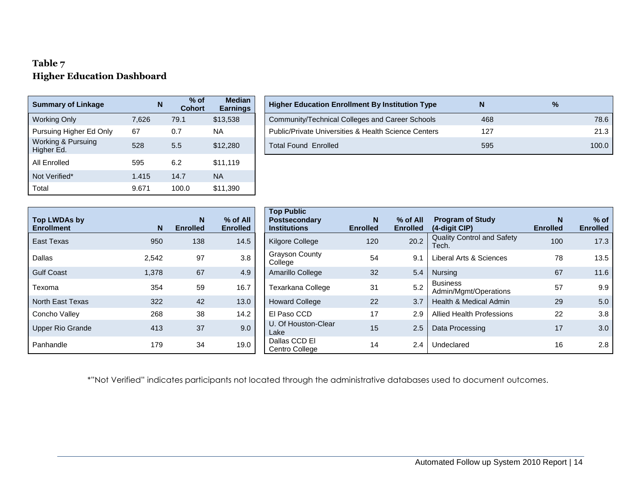#### **Table 7 Higher Education Dashboard**

| <b>Summary of Linkage</b>                   |       | N | $%$ of<br><b>Cohort</b> | <b>Median</b><br><b>Earnings</b> |
|---------------------------------------------|-------|---|-------------------------|----------------------------------|
| <b>Working Only</b>                         | 7,626 |   | 79.1                    | \$13,538                         |
| Pursuing Higher Ed Only                     | 67    |   | 0.7                     | NА                               |
| <b>Working &amp; Pursuing</b><br>Higher Ed. | 528   |   | 5.5                     | \$12,280                         |
| All Enrolled                                | 595   |   | 6.2                     | \$11,119                         |
| Not Verified*                               | 1.415 |   | 14.7                    | <b>NA</b>                        |
| Total                                       | 9.671 |   | 100.0                   | \$11,390                         |

| <b>Summary of Linkage</b>        |       | $%$ of<br>N.<br><b>Cohort</b> | <b>Median</b><br><b>Earnings</b> | <b>Higher Education Enrollment By Institution Type</b> |     |       |
|----------------------------------|-------|-------------------------------|----------------------------------|--------------------------------------------------------|-----|-------|
| Working Only                     | 7.626 | 79.1                          | \$13,538                         | Community/Technical Colleges and Career Schools        | 468 | 78.6  |
| Pursuing Higher Ed Only          | 67    | 0.7                           | NA.                              | Public/Private Universities & Health Science Centers   | 127 | 21.3  |
| Working & Pursuing<br>Higher Ed. | 528   | 5.5                           | \$12,280                         | Total Found Enrolled                                   | 595 | 100.0 |

| <b>Top LWDAs by</b> |       | N               | $%$ of All      | <b>Top Public</b><br><b>Postsecondary</b> | N               | $%$ of All      | Program                     |
|---------------------|-------|-----------------|-----------------|-------------------------------------------|-----------------|-----------------|-----------------------------|
| <b>Enrollment</b>   | N     | <b>Enrolled</b> | <b>Enrolled</b> | <b>Institutions</b>                       | <b>Enrolled</b> | <b>Enrolled</b> | (4-digit C<br>Quality Co    |
| East Texas          | 950   | 138             | 14.5            | Kilgore College                           | 120             | 20.2            | Tech.                       |
| Dallas              | 2,542 | 97              | 3.8             | <b>Grayson County</b><br>College          | 54              | 9.1             | Liberal Ar                  |
| <b>Gulf Coast</b>   | 1,378 | 67              | 4.9             | Amarillo College                          | 32              | 5.4             | <b>Nursing</b>              |
| Texoma              | 354   | 59              | 16.7            | Texarkana College                         | 31              | 5.2             | <b>Business</b><br>Admin/Mo |
| North East Texas    | 322   | 42              | 13.0            | <b>Howard College</b>                     | 22              | 3.7             | Health & I                  |
| Concho Valley       | 268   | 38              | 14.2            | El Paso CCD                               | 17              | 2.9             | <b>Allied Hea</b>           |
| Upper Rio Grande    | 413   | 37              | 9.0             | U. Of Houston-Clear<br>Lake               | 15              | 2.5             | Data Proc                   |
| Panhandle           | 179   | 34              | 19.0            | Dallas CCD EI<br>Centro College           | 14              | 2.4             | Undeclare                   |

| Top LWDAs by<br><b>Enrollment</b> | N <sub>1</sub> | N<br><b>Enrolled</b> | % of All<br><b>Enrolled</b> | <b>Top Public</b><br><b>Postsecondary</b><br><b>Institutions</b> | N<br><b>Enrolled</b> | % of All<br><b>Enrolled</b> | <b>Program of Study</b><br>(4-digit CIP)   | $\mathbf N$<br><b>Enrolled</b> | $%$ of<br><b>Enrolled</b> |
|-----------------------------------|----------------|----------------------|-----------------------------|------------------------------------------------------------------|----------------------|-----------------------------|--------------------------------------------|--------------------------------|---------------------------|
| East Texas                        | 950            | 138                  | 14.5                        | Kilgore College                                                  | 120                  | 20.2                        | <b>Quality Control and Safety</b><br>Tech. | 100                            | 17.3                      |
| Dallas                            | 2,542          | 97                   | 3.8                         | <b>Grayson County</b><br>College                                 | 54                   | 9.1                         | Liberal Arts & Sciences                    | 78                             | 13.5                      |
| Gulf Coast                        | 1,378          | 67                   | 4.9                         | Amarillo College                                                 | 32                   | 5.4                         | <b>Nursing</b>                             | 67                             | 11.6                      |
| Texoma                            | 354            | 59                   | 16.7                        | Texarkana College                                                | 31                   | 5.2                         | <b>Business</b><br>Admin/Mgmt/Operations   | 57                             | 9.9                       |
| North East Texas                  | 322            | 42                   | 13.0                        | <b>Howard College</b>                                            | 22                   | 3.7                         | Health & Medical Admin                     | 29                             | 5.0                       |
| Concho Valley                     | 268            | 38                   | 14.2                        | El Paso CCD                                                      | 17                   | 2.9                         | <b>Allied Health Professions</b>           | 22                             | 3.8                       |
| Upper Rio Grande                  | 413            | 37                   | 9.0                         | U. Of Houston-Clear<br>Lake                                      | 15                   | 2.5                         | Data Processing                            | 17                             | 3.0                       |
| Panhandle                         | 179            | 34                   | 19.0                        | Dallas CCD EI<br>Centro College                                  | 14                   | 2.4                         | Undeclared                                 | 16                             | 2.8                       |

\*"Not Verified" indicates participants not located through the administrative databases used to document outcomes.